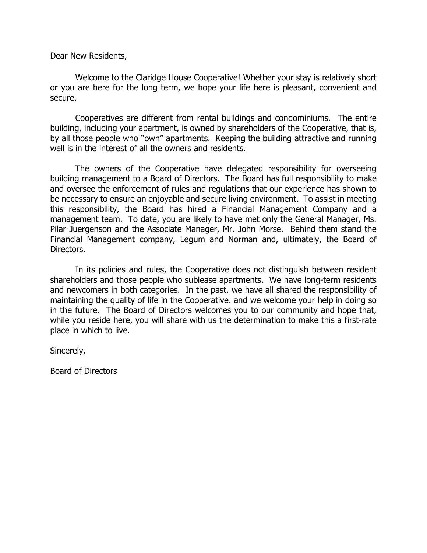Dear New Residents,

Welcome to the Claridge House Cooperative! Whether your stay is relatively short or you are here for the long term, we hope your life here is pleasant, convenient and secure.

Cooperatives are different from rental buildings and condominiums. The entire building, including your apartment, is owned by shareholders of the Cooperative, that is, by all those people who "own" apartments. Keeping the building attractive and running well is in the interest of all the owners and residents.

 The owners of the Cooperative have delegated responsibility for overseeing building management to a Board of Directors. The Board has full responsibility to make and oversee the enforcement of rules and regulations that our experience has shown to be necessary to ensure an enjoyable and secure living environment. To assist in meeting this responsibility, the Board has hired a Financial Management Company and a management team. To date, you are likely to have met only the General Manager, Ms. Pilar Juergenson and the Associate Manager, Mr. John Morse. Behind them stand the Financial Management company, Legum and Norman and, ultimately, the Board of Directors.

 In its policies and rules, the Cooperative does not distinguish between resident shareholders and those people who sublease apartments. We have long-term residents and newcomers in both categories. In the past, we have all shared the responsibility of maintaining the quality of life in the Cooperative. and we welcome your help in doing so in the future. The Board of Directors welcomes you to our community and hope that, while you reside here, you will share with us the determination to make this a first-rate place in which to live.

Sincerely,

Board of Directors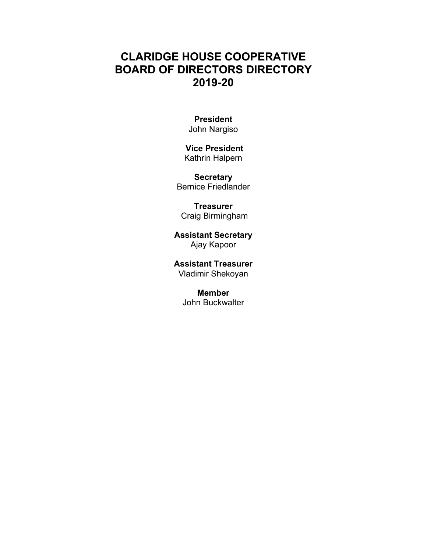# **CLARIDGE HOUSE COOPERATIVE BOARD OF DIRECTORS DIRECTORY 2019-20**

# **President**

John Nargiso

### **Vice President**  Kathrin Halpern

**Secretary**  Bernice Friedlander

**Treasurer**  Craig Birmingham

**Assistant Secretary**  Ajay Kapoor

**Assistant Treasurer**  Vladimir Shekoyan

> **Member**  John Buckwalter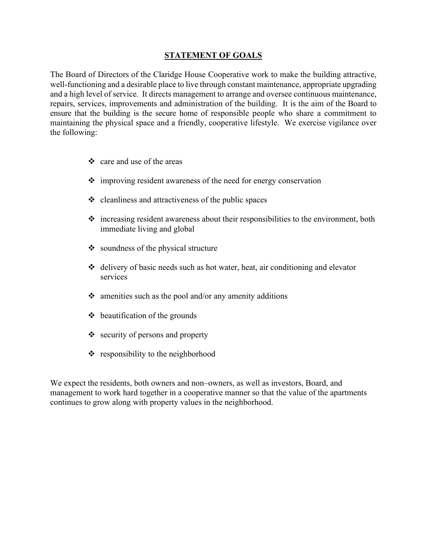### **STATEMENT OF GOALS**

The Board of Directors of the Claridge House Cooperative work to make the building attractive, well-functioning and a desirable place to live through constant maintenance, appropriate upgrading and a high level of service. It directs management to arrange and oversee continuous maintenance, repairs, services, improvements and administration of the building. It is the aim of the Board to ensure that the building is the secure home of responsible people who share a commitment to maintaining the physical space and a friendly, cooperative lifestyle. We exercise vigilance over the following:

- $\triangle$  care and use of the areas
- $\cdot$  improving resident awareness of the need for energy conservation
- $\triangleleft$  cleanliness and attractiveness of the public spaces
- $\div$  increasing resident awareness about their responsibilities to the environment, both immediate living and global
- $\bullet$  soundness of the physical structure
- $\triangleleft$  delivery of basic needs such as hot water, heat, air conditioning and elevator services
- $\cdot$  amenities such as the pool and/or any amenity additions
- $\triangleleft$  beautification of the grounds
- $\triangleleft$  security of persons and property
- $\triangleleft$  responsibility to the neighborhood

We expect the residents, both owners and non–owners, as well as investors, Board, and management to work hard together in a cooperative manner so that the value of the apartments continues to grow along with property values in the neighborhood.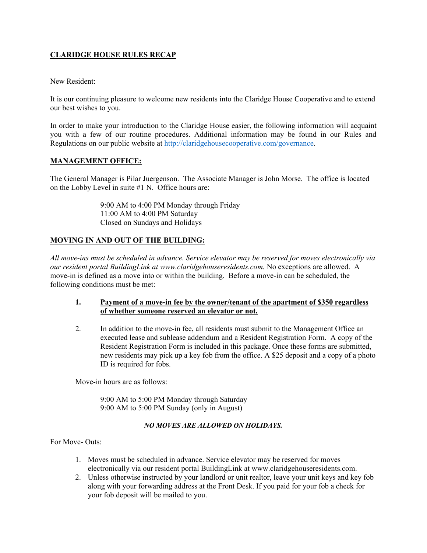## **CLARIDGE HOUSE RULES RECAP**

#### New Resident:

It is our continuing pleasure to welcome new residents into the Claridge House Cooperative and to extend our best wishes to you.

In order to make your introduction to the Claridge House easier, the following information will acquaint you with a few of our routine procedures. Additional information may be found in our Rules and Regulations on our public website at http://claridgehousecooperative.com/governance.

### **MANAGEMENT OFFICE:**

The General Manager is Pilar Juergenson. The Associate Manager is John Morse. The office is located on the Lobby Level in suite #1 N. Office hours are:

> 9:00 AM to 4:00 PM Monday through Friday 11:00 AM to 4:00 PM Saturday Closed on Sundays and Holidays

### **MOVING IN AND OUT OF THE BUILDING:**

*All move-ins must be scheduled in advance. Service elevator may be reserved for moves electronically via our resident portal BuildingLink at www.claridgehouseresidents.com.* No exceptions are allowed. A move-in is defined as a move into or within the building. Before a move-in can be scheduled, the following conditions must be met:

#### **1. Payment of a move-in fee by the owner/tenant of the apartment of \$350 regardless of whether someone reserved an elevator or not.**

2. In addition to the move-in fee, all residents must submit to the Management Office an executed lease and sublease addendum and a Resident Registration Form. A copy of the Resident Registration Form is included in this package. Once these forms are submitted, new residents may pick up a key fob from the office. A \$25 deposit and a copy of a photo ID is required for fobs.

Move-in hours are as follows:

9:00 AM to 5:00 PM Monday through Saturday 9:00 AM to 5:00 PM Sunday (only in August)

#### *NO MOVES ARE ALLOWED ON HOLIDAYS.*

For Move- Outs:

- 1. Moves must be scheduled in advance. Service elevator may be reserved for moves electronically via our resident portal BuildingLink at www.claridgehouseresidents.com.
- 2. Unless otherwise instructed by your landlord or unit realtor, leave your unit keys and key fob along with your forwarding address at the Front Desk. If you paid for your fob a check for your fob deposit will be mailed to you.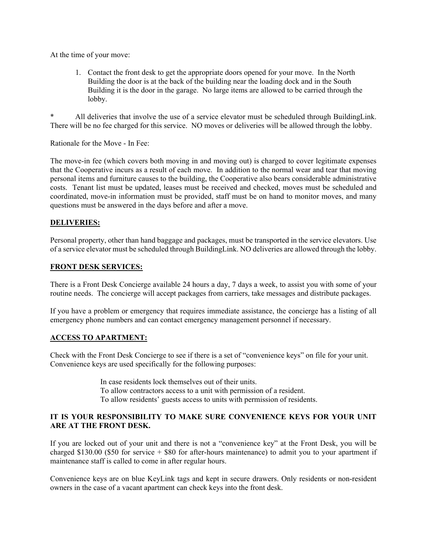At the time of your move:

1. Contact the front desk to get the appropriate doors opened for your move. In the North Building the door is at the back of the building near the loading dock and in the South Building it is the door in the garage. No large items are allowed to be carried through the lobby.

All deliveries that involve the use of a service elevator must be scheduled through BuildingLink. There will be no fee charged for this service. NO moves or deliveries will be allowed through the lobby.

Rationale for the Move - In Fee:

The move-in fee (which covers both moving in and moving out) is charged to cover legitimate expenses that the Cooperative incurs as a result of each move. In addition to the normal wear and tear that moving personal items and furniture causes to the building, the Cooperative also bears considerable administrative costs. Tenant list must be updated, leases must be received and checked, moves must be scheduled and coordinated, move-in information must be provided, staff must be on hand to monitor moves, and many questions must be answered in the days before and after a move.

#### **DELIVERIES:**

Personal property, other than hand baggage and packages, must be transported in the service elevators. Use of a service elevator must be scheduled through BuildingLink. NO deliveries are allowed through the lobby.

#### **FRONT DESK SERVICES:**

There is a Front Desk Concierge available 24 hours a day, 7 days a week, to assist you with some of your routine needs. The concierge will accept packages from carriers, take messages and distribute packages.

If you have a problem or emergency that requires immediate assistance, the concierge has a listing of all emergency phone numbers and can contact emergency management personnel if necessary.

#### **ACCESS TO APARTMENT:**

Check with the Front Desk Concierge to see if there is a set of "convenience keys" on file for your unit. Convenience keys are used specifically for the following purposes:

> In case residents lock themselves out of their units. To allow contractors access to a unit with permission of a resident. To allow residents' guests access to units with permission of residents.

### **IT IS YOUR RESPONSIBILITY TO MAKE SURE CONVENIENCE KEYS FOR YOUR UNIT ARE AT THE FRONT DESK.**

If you are locked out of your unit and there is not a "convenience key" at the Front Desk, you will be charged \$130.00 (\$50 for service + \$80 for after-hours maintenance) to admit you to your apartment if maintenance staff is called to come in after regular hours.

Convenience keys are on blue KeyLink tags and kept in secure drawers. Only residents or non-resident owners in the case of a vacant apartment can check keys into the front desk.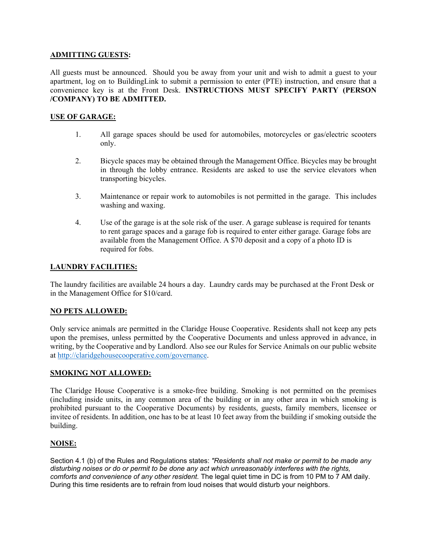#### **ADMITTING GUESTS:**

All guests must be announced. Should you be away from your unit and wish to admit a guest to your apartment, log on to BuildingLink to submit a permission to enter (PTE) instruction, and ensure that a convenience key is at the Front Desk. **INSTRUCTIONS MUST SPECIFY PARTY (PERSON /COMPANY) TO BE ADMITTED.** 

#### **USE OF GARAGE:**

- 1. All garage spaces should be used for automobiles, motorcycles or gas/electric scooters only.
- 2. Bicycle spaces may be obtained through the Management Office. Bicycles may be brought in through the lobby entrance. Residents are asked to use the service elevators when transporting bicycles.
- 3. Maintenance or repair work to automobiles is not permitted in the garage. This includes washing and waxing.
- 4. Use of the garage is at the sole risk of the user. A garage sublease is required for tenants to rent garage spaces and a garage fob is required to enter either garage. Garage fobs are available from the Management Office. A \$70 deposit and a copy of a photo ID is required for fobs.

### **LAUNDRY FACILITIES:**

The laundry facilities are available 24 hours a day. Laundry cards may be purchased at the Front Desk or in the Management Office for \$10/card.

#### **NO PETS ALLOWED:**

Only service animals are permitted in the Claridge House Cooperative. Residents shall not keep any pets upon the premises, unless permitted by the Cooperative Documents and unless approved in advance, in writing, by the Cooperative and by Landlord. Also see our Rules for Service Animals on our public website at http://claridgehousecooperative.com/governance.

#### **SMOKING NOT ALLOWED:**

The Claridge House Cooperative is a smoke-free building. Smoking is not permitted on the premises (including inside units, in any common area of the building or in any other area in which smoking is prohibited pursuant to the Cooperative Documents) by residents, guests, family members, licensee or invitee of residents. In addition, one has to be at least 10 feet away from the building if smoking outside the building.

#### **NOISE:**

Section 4.1 (b) of the Rules and Regulations states: *"Residents shall not make or permit to be made any disturbing noises or do or permit to be done any act which unreasonably interferes with the rights, comforts and convenience of any other resident.* The legal quiet time in DC is from 10 PM to 7 AM daily. During this time residents are to refrain from loud noises that would disturb your neighbors.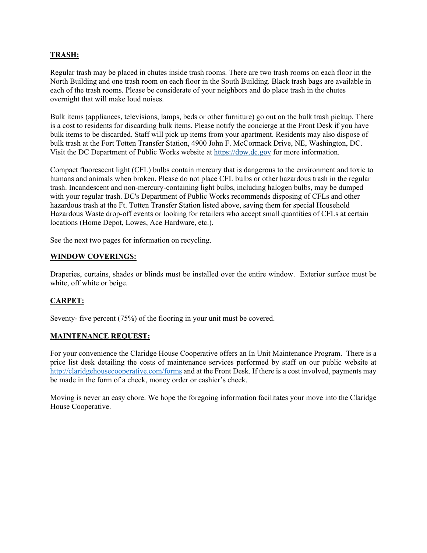### **TRASH:**

Regular trash may be placed in chutes inside trash rooms. There are two trash rooms on each floor in the North Building and one trash room on each floor in the South Building. Black trash bags are available in each of the trash rooms. Please be considerate of your neighbors and do place trash in the chutes overnight that will make loud noises.

Bulk items (appliances, televisions, lamps, beds or other furniture) go out on the bulk trash pickup. There is a cost to residents for discarding bulk items. Please notify the concierge at the Front Desk if you have bulk items to be discarded. Staff will pick up items from your apartment. Residents may also dispose of bulk trash at the Fort Totten Transfer Station, 4900 John F. McCormack Drive, NE, Washington, DC. Visit the DC Department of Public Works website at https://dpw.dc.gov for more information.

Compact fluorescent light (CFL) bulbs contain mercury that is dangerous to the environment and toxic to humans and animals when broken. Please do not place CFL bulbs or other hazardous trash in the regular trash. Incandescent and non-mercury-containing light bulbs, including halogen bulbs, may be dumped with your regular trash. DC's Department of Public Works recommends disposing of CFLs and other hazardous trash at the Ft. Totten Transfer Station listed above, saving them for special Household Hazardous Waste drop-off events or looking for retailers who accept small quantities of CFLs at certain locations (Home Depot, Lowes, Ace Hardware, etc.).

See the next two pages for information on recycling.

#### **WINDOW COVERINGS:**

Draperies, curtains, shades or blinds must be installed over the entire window. Exterior surface must be white, off white or beige.

#### **CARPET:**

Seventy- five percent (75%) of the flooring in your unit must be covered.

#### **MAINTENANCE REQUEST:**

For your convenience the Claridge House Cooperative offers an In Unit Maintenance Program. There is a price list desk detailing the costs of maintenance services performed by staff on our public website at http://claridgehousecooperative.com/forms and at the Front Desk. If there is a cost involved, payments may be made in the form of a check, money order or cashier's check.

Moving is never an easy chore. We hope the foregoing information facilitates your move into the Claridge House Cooperative.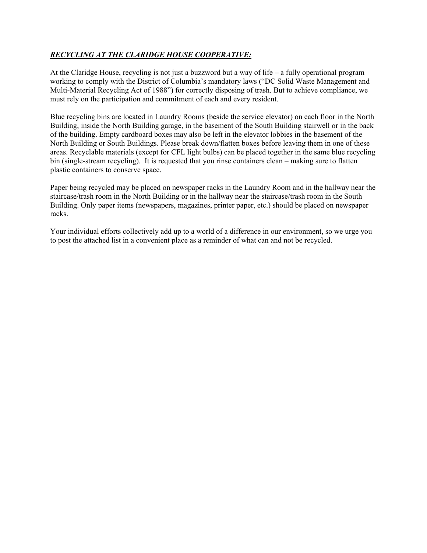## *RECYCLING AT THE CLARIDGE HOUSE COOPERATIVE:*

At the Claridge House, recycling is not just a buzzword but a way of life – a fully operational program working to comply with the District of Columbia's mandatory laws ("DC Solid Waste Management and Multi-Material Recycling Act of 1988") for correctly disposing of trash. But to achieve compliance, we must rely on the participation and commitment of each and every resident.

Blue recycling bins are located in Laundry Rooms (beside the service elevator) on each floor in the North Building, inside the North Building garage, in the basement of the South Building stairwell or in the back of the building. Empty cardboard boxes may also be left in the elevator lobbies in the basement of the North Building or South Buildings. Please break down/flatten boxes before leaving them in one of these areas. Recyclable materials (except for CFL light bulbs) can be placed together in the same blue recycling bin (single-stream recycling). It is requested that you rinse containers clean – making sure to flatten plastic containers to conserve space.

Paper being recycled may be placed on newspaper racks in the Laundry Room and in the hallway near the staircase/trash room in the North Building or in the hallway near the staircase/trash room in the South Building. Only paper items (newspapers, magazines, printer paper, etc.) should be placed on newspaper racks.

Your individual efforts collectively add up to a world of a difference in our environment, so we urge you to post the attached list in a convenient place as a reminder of what can and not be recycled.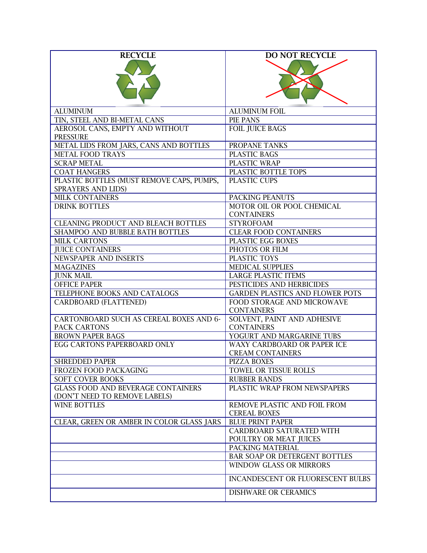| <b>RECYCLE</b>                            | <b>DO NOT RECYCLE</b>                          |
|-------------------------------------------|------------------------------------------------|
|                                           |                                                |
|                                           |                                                |
|                                           |                                                |
|                                           |                                                |
|                                           |                                                |
|                                           |                                                |
| <b>ALUMINUM</b>                           | <b>ALUMINUM FOIL</b>                           |
| TIN, STEEL AND BI-METAL CANS              | PIE PANS                                       |
| AEROSOL CANS, EMPTY AND WITHOUT           | <b>FOIL JUICE BAGS</b>                         |
| <b>PRESSURE</b>                           |                                                |
| METAL LIDS FROM JARS, CANS AND BOTTLES    | PROPANE TANKS                                  |
| <b>METAL FOOD TRAYS</b>                   | PLASTIC BAGS                                   |
|                                           |                                                |
| <b>SCRAP METAL</b>                        | PLASTIC WRAP                                   |
| <b>COAT HANGERS</b>                       | PLASTIC BOTTLE TOPS                            |
| PLASTIC BOTTLES (MUST REMOVE CAPS, PUMPS, | PLASTIC CUPS                                   |
| SPRAYERS AND LIDS)                        |                                                |
| MILK CONTAINERS                           | PACKING PEANUTS                                |
| <b>DRINK BOTTLES</b>                      | MOTOR OIL OR POOL CHEMICAL                     |
|                                           | <b>CONTAINERS</b>                              |
| CLEANING PRODUCT AND BLEACH BOTTLES       | <b>STYROFOAM</b>                               |
| SHAMPOO AND BUBBLE BATH BOTTLES           | <b>CLEAR FOOD CONTAINERS</b>                   |
| <b>MILK CARTONS</b>                       | PLASTIC EGG BOXES                              |
| <b>JUICE CONTAINERS</b>                   | PHOTOS OR FILM                                 |
| NEWSPAPER AND INSERTS                     |                                                |
|                                           | PLASTIC TOYS                                   |
| <b>MAGAZINES</b>                          | <b>MEDICAL SUPPLIES</b>                        |
| <b>JUNK MAIL</b>                          | <b>LARGE PLASTIC ITEMS</b>                     |
| <b>OFFICE PAPER</b>                       | PESTICIDES AND HERBICIDES                      |
| TELEPHONE BOOKS AND CATALOGS              | <b>GARDEN PLASTICS AND FLOWER POTS</b>         |
| <b>CARDBOARD (FLATTENED)</b>              | FOOD STORAGE AND MICROWAVE                     |
|                                           | <b>CONTAINERS</b>                              |
| CARTONBOARD SUCH AS CEREAL BOXES AND 6-   | SOLVENT, PAINT AND ADHESIVE                    |
| PACK CARTONS                              | <b>CONTAINERS</b>                              |
| <b>BROWN PAPER BAGS</b>                   | YOGURT AND MARGARINE TUBS                      |
| <b>EGG CARTONS PAPERBOARD ONLY</b>        | WAXY CARDBOARD OR PAPER ICE                    |
|                                           | <b>CREAM CONTAINERS</b>                        |
| <b>SHREDDED PAPER</b>                     | PIZZA BOXES                                    |
| FROZEN FOOD PACKAGING                     | TOWEL OR TISSUE ROLLS                          |
| <b>SOFT COVER BOOKS</b>                   | <b>RUBBER BANDS</b>                            |
| <b>GLASS FOOD AND BEVERAGE CONTAINERS</b> | PLASTIC WRAP FROM NEWSPAPERS                   |
| (DON'T NEED TO REMOVE LABELS)             |                                                |
| <b>WINE BOTTLES</b>                       | REMOVE PLASTIC AND FOIL FROM                   |
|                                           |                                                |
|                                           | <b>CEREAL BOXES</b><br><b>BLUE PRINT PAPER</b> |
| CLEAR, GREEN OR AMBER IN COLOR GLASS JARS |                                                |
|                                           | CARDBOARD SATURATED WITH                       |
|                                           | POULTRY OR MEAT JUICES                         |
|                                           | PACKING MATERIAL                               |
|                                           | BAR SOAP OR DETERGENT BOTTLES                  |
|                                           | <b>WINDOW GLASS OR MIRRORS</b>                 |
|                                           | INCANDESCENT OR FLUORESCENT BULBS              |
|                                           | DISHWARE OR CERAMICS                           |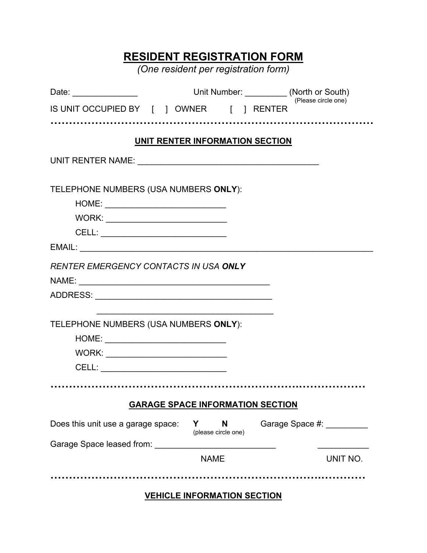# **RESIDENT REGISTRATION FORM**

*(One resident per registration form)* 

| Date: ___________________                |                                         | Unit Number: ___________ (North or South) | (Please circle one)        |
|------------------------------------------|-----------------------------------------|-------------------------------------------|----------------------------|
| IS UNIT OCCUPIED BY [ ] OWNER [ ] RENTER |                                         |                                           |                            |
|                                          |                                         |                                           |                            |
|                                          | UNIT RENTER INFORMATION SECTION         |                                           |                            |
|                                          |                                         |                                           |                            |
| TELEPHONE NUMBERS (USA NUMBERS ONLY):    |                                         |                                           |                            |
|                                          |                                         |                                           |                            |
|                                          |                                         |                                           |                            |
|                                          |                                         |                                           |                            |
|                                          |                                         |                                           |                            |
| RENTER EMERGENCY CONTACTS IN USA ONLY    |                                         |                                           |                            |
|                                          |                                         |                                           |                            |
|                                          |                                         |                                           |                            |
|                                          |                                         |                                           |                            |
| TELEPHONE NUMBERS (USA NUMBERS ONLY):    |                                         |                                           |                            |
|                                          |                                         |                                           |                            |
|                                          |                                         |                                           |                            |
|                                          |                                         |                                           |                            |
|                                          |                                         |                                           |                            |
|                                          | <b>GARAGE SPACE INFORMATION SECTION</b> |                                           |                            |
| Does this unit use a garage space:       | Y                                       | N<br>(please circle one)                  | Garage Space #: __________ |
|                                          |                                         |                                           |                            |
|                                          | <b>NAME</b>                             |                                           | UNIT NO.                   |
|                                          |                                         |                                           |                            |
|                                          | <b>VEHICLE INFORMATION SECTION</b>      |                                           |                            |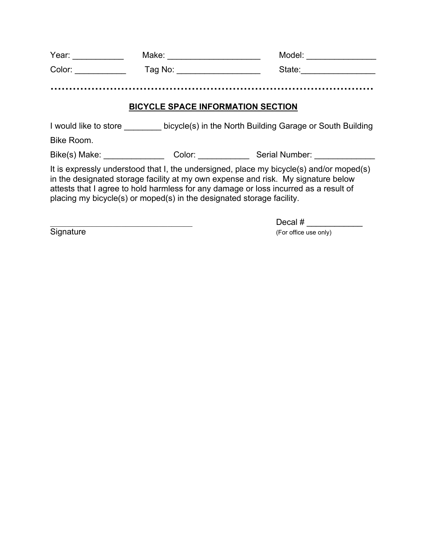| Year:                                    | Make:   | Model: |
|------------------------------------------|---------|--------|
| Color:                                   | Tag No: | State: |
|                                          |         |        |
| <b>BICYCLE SPACE INFORMATION SECTION</b> |         |        |

I would like to store \_\_\_\_\_\_\_\_ bicycle(s) in the North Building Garage or South Building

Bike Room.

Bike(s) Make: \_\_\_\_\_\_\_\_\_\_\_\_\_\_\_\_\_ Color: \_\_\_\_\_\_\_\_\_\_\_\_\_ Serial Number: \_\_\_\_\_\_\_\_\_\_\_\_

It is expressly understood that I, the undersigned, place my bicycle(s) and/or moped(s) in the designated storage facility at my own expense and risk. My signature below attests that I agree to hold harmless for any damage or loss incurred as a result of placing my bicycle(s) or moped(s) in the designated storage facility.

\_\_\_\_\_\_\_\_\_\_\_\_\_\_\_\_\_\_\_\_\_\_\_\_\_\_\_\_\_\_\_\_\_\_ Decal # \_\_\_\_\_\_\_\_\_\_\_\_ Signature (For office use only)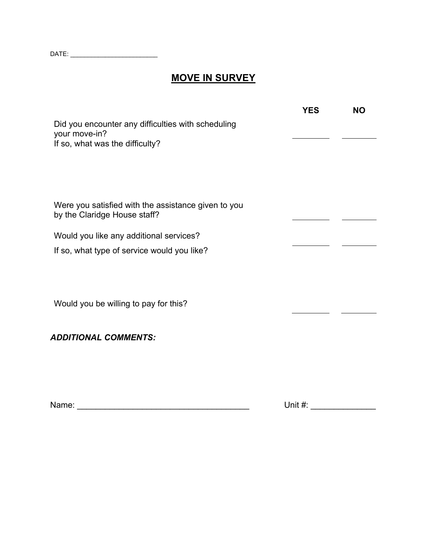DATE: \_\_\_\_\_\_\_\_\_\_\_\_\_\_\_\_\_\_\_\_\_\_\_\_\_

# **MOVE IN SURVEY**

|                                                                                                        | <b>YES</b> | <b>NO</b> |
|--------------------------------------------------------------------------------------------------------|------------|-----------|
| Did you encounter any difficulties with scheduling<br>your move-in?<br>If so, what was the difficulty? |            |           |
|                                                                                                        |            |           |
|                                                                                                        |            |           |
| Were you satisfied with the assistance given to you<br>by the Claridge House staff?                    |            |           |
| Would you like any additional services?                                                                |            |           |
| If so, what type of service would you like?                                                            |            |           |
|                                                                                                        |            |           |
| Would you be willing to pay for this?                                                                  |            |           |
| <b>ADDITIONAL COMMENTS:</b>                                                                            |            |           |
|                                                                                                        |            |           |
|                                                                                                        |            |           |

Name: \_\_\_\_\_\_\_\_\_\_\_\_\_\_\_\_\_\_\_\_\_\_\_\_\_\_\_\_\_\_\_\_\_\_\_\_\_ Unit #: \_\_\_\_\_\_\_\_\_\_\_\_\_\_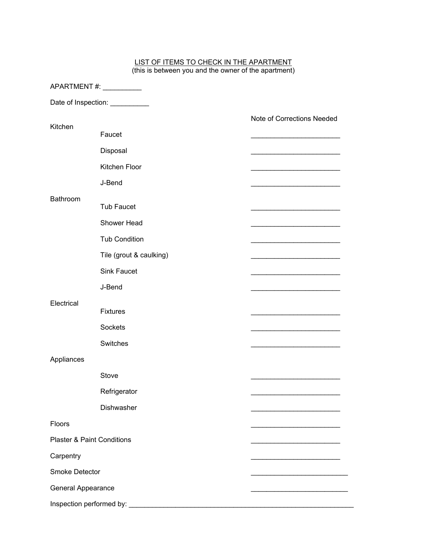#### LIST OF ITEMS TO CHECK IN THE APARTMENT (this is between you and the owner of the apartment)

| APARTMENT#: __________                |                         |                                                                            |
|---------------------------------------|-------------------------|----------------------------------------------------------------------------|
|                                       | Date of Inspection:     |                                                                            |
|                                       |                         | Note of Corrections Needed                                                 |
| Kitchen                               | Faucet                  |                                                                            |
|                                       | Disposal                |                                                                            |
|                                       | Kitchen Floor           |                                                                            |
|                                       | J-Bend                  |                                                                            |
| Bathroom                              |                         |                                                                            |
|                                       | <b>Tub Faucet</b>       |                                                                            |
|                                       | Shower Head             |                                                                            |
|                                       | <b>Tub Condition</b>    |                                                                            |
|                                       | Tile (grout & caulking) |                                                                            |
|                                       | <b>Sink Faucet</b>      |                                                                            |
|                                       | J-Bend                  |                                                                            |
| Electrical                            | <b>Fixtures</b>         |                                                                            |
|                                       | <b>Sockets</b>          | the control of the control of the control of the control of the control of |
|                                       | Switches                |                                                                            |
| Appliances                            |                         |                                                                            |
|                                       | Stove                   |                                                                            |
|                                       | Refrigerator            |                                                                            |
|                                       | Dishwasher              |                                                                            |
| Floors                                |                         | .                                                                          |
| <b>Plaster &amp; Paint Conditions</b> |                         | <u> 1989 - Johann John Stoff, market fransk kanton (</u>                   |
| Carpentry                             |                         |                                                                            |
| Smoke Detector                        |                         |                                                                            |
| General Appearance                    |                         |                                                                            |
|                                       |                         |                                                                            |